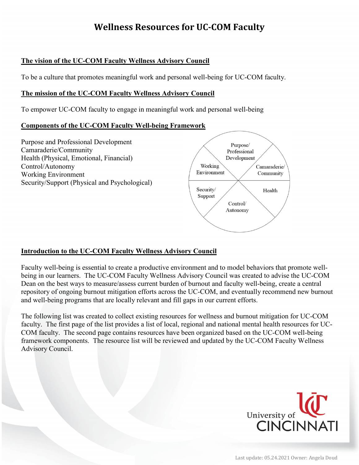### **The vision of the UC-COM Faculty Wellness Advisory Council**

To be a culture that promotes meaningful work and personal well-being for UC-COM faculty.

### **The mission of the UC-COM Faculty Wellness Advisory Council**

To empower UC-COM faculty to engage in meaningful work and personal well-being

### **Components of the UC-COM Faculty Well-being Framework**



### **Introduction to the UC-COM Faculty Wellness Advisory Council**

Faculty well-being is essential to create a productive environment and to model behaviors that promote wellbeing in our learners. The UC-COM Faculty Wellness Advisory Council was created to advise the UC-COM Dean on the best ways to measure/assess current burden of burnout and faculty well-being, create a central repository of ongoing burnout mitigation efforts across the UC-COM, and eventually recommend new burnout and well-being programs that are locally relevant and fill gaps in our current efforts.

The following list was created to collect existing resources for wellness and burnout mitigation for UC-COM faculty. The first page of the list provides a list of local, regional and national mental health resources for UC-COM faculty. The second page contains resources have been organized based on the UC-COM well-being framework components. The resource list will be reviewed and updated by the UC-COM Faculty Wellness Advisory Council.

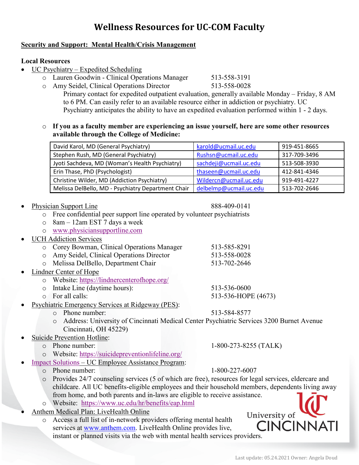### **Security and Support: Mental Health/Crisis Management**

#### **Local Resources**

- UC Psychiatry Expedited Scheduling
	- o Lauren Goodwin Clinical Operations Manager 513-558-3191
	- o Amy Seidel, Clinical Operations Director

Primary contact for expedited outpatient evaluation, generally available Monday – Friday, 8 AM to 6 PM. Can easily refer to an available resource either in addiction or psychiatry. UC Psychiatry anticipates the ability to have an expedited evaluation performed within 1 - 2 days.

### o **If you as a faculty member are experiencing an issue yourself, here are some other resources available through the College of Medicine:**

| David Karol, MD (General Psychiatry)               | karold@ucmail.uc.edu   | 919-451-8665 |
|----------------------------------------------------|------------------------|--------------|
| Stephen Rush, MD (General Psychiatry)              | Rushsn@ucmail.uc.edu   | 317-709-3496 |
| Jyoti Sachdeva, MD (Woman's Health Psychiatry)     | sachdeji@ucmail.uc.edu | 513-508-3930 |
| Erin Thase, PhD (Psychologist)                     | thaseen@ucmail.uc.edu  | 412-841-4346 |
| Christine Wilder, MD (Addiction Psychiatry)        | Wildercn@ucmail.uc.edu | 919-491-4227 |
| Melissa DelBello, MD - Psychiatry Department Chair | delbelmp@ucmail.uc.edu | 513-702-2646 |

- Physician Support Line 888-409-0141
	- o Free confidential peer support line operated by volunteer psychiatrists
	- o 8am 12am EST 7 days a week
	- o [www.physiciansupportline.com](http://www.physiciansupportline.com/)
- UCH Addiction Services
	- o Corey Bowman, Clinical Operations Manager 513-585-8291
	- o Amy Seidel, Clinical Operations Director 513-558-0028
	- o Melissa DelBello, Department Chair
- Lindner Center of Hope
	- o Website:<https://lindnercenterofhope.org/>
	- o Intake Line (daytime hours): 513-536-0600<br>
	o For all calls: 513-536-HOP
		-
- Psychiatric Emergency Services at Ridgeway (PES):
	- o Phone number: 513-584-8577

o Address: University of Cincinnati Medical Center Psychiatric Services 3200 Burnet Avenue Cincinnati, OH 45229)

- Suicide Prevention Hotline:
	-
	- o Website:<https://suicidepreventionlifeline.org/>
- [Impact Solutions](https://www.uc.edu/hr/benefits/eap.html) UC Employee Assistance Program:
	- o Phone number: 1-800-227-6007
	- o Provides 24/7 counseling services (5 of which are free), resources for legal services, eldercare and childcare. All UC benefits-eligible employees and their household members, dependents living away from home, and both parents and in-laws are eligible to receive assistance.
	- o Website: <https://www.uc.edu/hr/benefits/eap.html>
- Anthem Medical Plan: LiveHealth Online
	- o Access a full list of in-network providers offering mental health services at [www.anthem.com.](http://www.anthem.com/) LiveHealth Online provides live, instant or planned visits via the web with mental health services providers.

University of **CINCINNATI** 

o Phone number: 1-800-273-8255 (TALK)

513-536-HOPE (4673)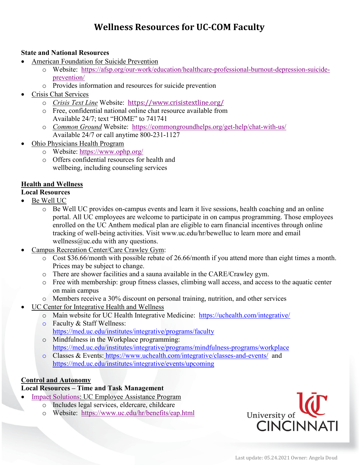### **State and National Resources**

- American Foundation for Suicide Prevention
	- o Website: [https://afsp.org/our-work/education/healthcare-professional-burnout-depression-suicide](https://afsp.org/our-work/education/healthcare-professional-burnout-depression-suicide-prevention/)[prevention/](https://afsp.org/our-work/education/healthcare-professional-burnout-depression-suicide-prevention/)
	- o Provides information and resources for suicide prevention
- Crisis Chat Services
	- o *Crisis Text Line* Website: <https://www.crisistextline.org/>
	- o Free, confidential national online chat resource available from Available 24/7; text "HOME" to 741741
	- o *Common Ground* Website: <https://commongroundhelps.org/get-help/chat-with-us/> Available 24/7 or call anytime 800-231-1127
- Ohio Physicians Health Program
	- o Website:<https://www.ophp.org/>
	- o Offers confidential resources for health and wellbeing, including counseling services

## **Health and Wellness**

- **Local Resources**
- Be Well UC
	- o Be Well UC provides on-campus events and learn it live sessions, health coaching and an online portal. All UC employees are welcome to participate in on campus programming. Those employees enrolled on the UC Anthem medical plan are eligible to earn financial incentives through online tracking of well-being activities. Visit www.uc.edu/hr/bewelluc to learn more and email wellness $@$ uc.edu with any questions.
- Campus Recreation Center/Care Crawley Gym:
	- o Cost \$36.66/month with possible rebate of 26.66/month if you attend more than eight times a month. Prices may be subject to change.
	- o There are shower facilities and a sauna available in the CARE/Crawley gym.
	- o Free with membership: group fitness classes, climbing wall access, and access to the aquatic center on main campus
	- o Members receive a 30% discount on personal training, nutrition, and other services
	- UC Center for Integrative Health and Wellness
		- o Main website for UC Health Integrative Medicine: <https://uchealth.com/integrative/>
		- o Faculty & Staff Wellness: <https://med.uc.edu/institutes/integrative/programs/faculty>
		- o Mindfulness in the Workplace programming: [https://med.uc.edu/institutes/integrative/programs/mindfulness-programs/](https://med.uc.edu/institutes/integrative/programs/mindfulness-programs)workplace
		- o Classes & Events: <https://www.uchealth.com/integrative/classes-and-events/> and [https://med.uc.edu/institutes/integrative/events/upcoming](https://nam11.safelinks.protection.outlook.com/?url=https%3A%2F%2Fmed.uc.edu%2Finstitutes%2Fintegrative%2Fevents%2Fupcoming&data=04%7C01%7Cdoudaa%40UCMAIL.UC.EDU%7C89135d15aace431eb5ed08d91eea77f8%7Cf5222e6c5fc648eb8f0373db18203b63%7C1%7C0%7C637574814642670963%7CUnknown%7CTWFpbGZsb3d8eyJWIjoiMC4wLjAwMDAiLCJQIjoiV2luMzIiLCJBTiI6Ik1haWwiLCJXVCI6Mn0%3D%7C1000&sdata=rBQO28UllrkkEKzx5VziVilNRPz89TQvnNY%2FMR4pwWI%3D&reserved=0)

## **Control and Autonomy**

## **Local Resources – Time and Task Management**

- **[Impact Solutions:](https://www.uc.edu/hr/benefits/eap.html) UC Employee Assistance Program** 
	- o Includes legal services, eldercare, childcare
	- o Website: <https://www.uc.edu/hr/benefits/eap.html>